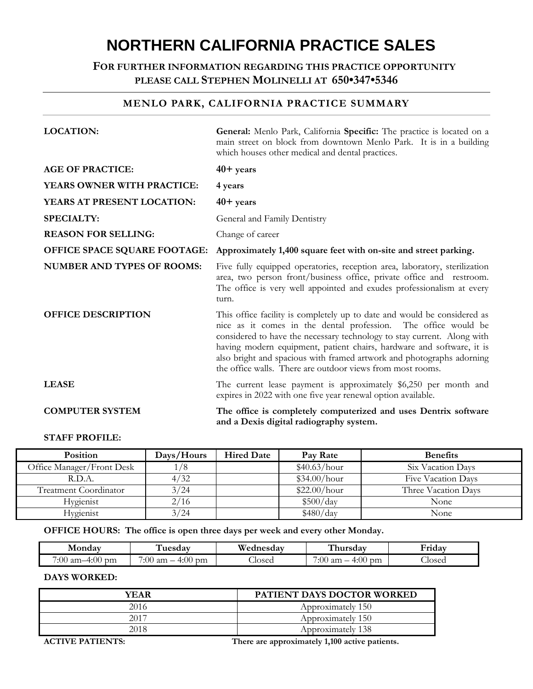# **NORTHERN CALIFORNIA PRACTICE SALES**

# **FOR FURTHER INFORMATION REGARDING THIS PRACTICE OPPORTUNITY PLEASE CALL STEPHEN MOLINELLI AT 650•347•5346**

# **MENLO PARK, CALIFORNIA PRACTICE SUMMARY**

| <b>LOCATION:</b>                    | General: Menlo Park, California Specific: The practice is located on a<br>main street on block from downtown Menlo Park. It is in a building<br>which houses other medical and dental practices.                                                                                                                                                                                                                                      |
|-------------------------------------|---------------------------------------------------------------------------------------------------------------------------------------------------------------------------------------------------------------------------------------------------------------------------------------------------------------------------------------------------------------------------------------------------------------------------------------|
| <b>AGE OF PRACTICE:</b>             | $40+$ years                                                                                                                                                                                                                                                                                                                                                                                                                           |
| <b>YEARS OWNER WITH PRACTICE:</b>   | 4 years                                                                                                                                                                                                                                                                                                                                                                                                                               |
| YEARS AT PRESENT LOCATION:          | $40+$ years                                                                                                                                                                                                                                                                                                                                                                                                                           |
| <b>SPECIALTY:</b>                   | General and Family Dentistry                                                                                                                                                                                                                                                                                                                                                                                                          |
| <b>REASON FOR SELLING:</b>          | Change of career                                                                                                                                                                                                                                                                                                                                                                                                                      |
| <b>OFFICE SPACE SQUARE FOOTAGE:</b> | Approximately 1,400 square feet with on-site and street parking.                                                                                                                                                                                                                                                                                                                                                                      |
| <b>NUMBER AND TYPES OF ROOMS:</b>   | Five fully equipped operatories, reception area, laboratory, sterilization<br>area, two person front/business office, private office and restroom.<br>The office is very well appointed and exudes professionalism at every<br>turn.                                                                                                                                                                                                  |
| <b>OFFICE DESCRIPTION</b>           | This office facility is completely up to date and would be considered as<br>nice as it comes in the dental profession. The office would be<br>considered to have the necessary technology to stay current. Along with<br>having modern equipment, patient chairs, hardware and software, it is<br>also bright and spacious with framed artwork and photographs adorning<br>the office walls. There are outdoor views from most rooms. |
| <b>LEASE</b>                        | The current lease payment is approximately \$6,250 per month and<br>expires in 2022 with one five year renewal option available.                                                                                                                                                                                                                                                                                                      |
| <b>COMPUTER SYSTEM</b>              | The office is completely computerized and uses Dentrix software<br>and a Dexis digital radiography system.                                                                                                                                                                                                                                                                                                                            |

## **STAFF PROFILE:**

| <b>Position</b>              | Days/Hours    | <b>Hired Date</b> | Pay Rate     | <b>Benefits</b>     |
|------------------------------|---------------|-------------------|--------------|---------------------|
| Office Manager/Front Desk    | $\frac{1}{8}$ |                   | \$40.63/hour | Six Vacation Days   |
| R.D.A.                       | 4/32          |                   | \$34.00/hour | Five Vacation Days  |
| <b>Treatment Coordinator</b> | 3/24          |                   | \$22.00/hour | Three Vacation Days |
| Hygienist                    | 2/16          |                   | \$500/day    | None                |
| Hygienist                    | 3/24          |                   | \$480/day    | None                |

**OFFICE HOURS: The office is open three days per week and every other Monday.**

| Mondav                 | uesdav                                            | Wednesday   | hursdav                                      | Fridav |
|------------------------|---------------------------------------------------|-------------|----------------------------------------------|--------|
| 7:00 am-<br>4:00<br>pm | $\overline{\phantom{0}}$<br>4:00<br>':00 am<br>pm | --<br>losed | 7:00<br>4:00<br>' am<br>pm<br>_<br><b>__</b> | Josed  |

## **DAYS WORKED:**

| YEAR | <b>PATIENT DAYS DOCTOR WORKED</b> |
|------|-----------------------------------|
| 2016 | Approximately 150                 |
| 2017 | Approximately 150                 |
| 2018 | Approximately 138                 |

**ACTIVE PATIENTS: There are approximately 1,100 active patients.**